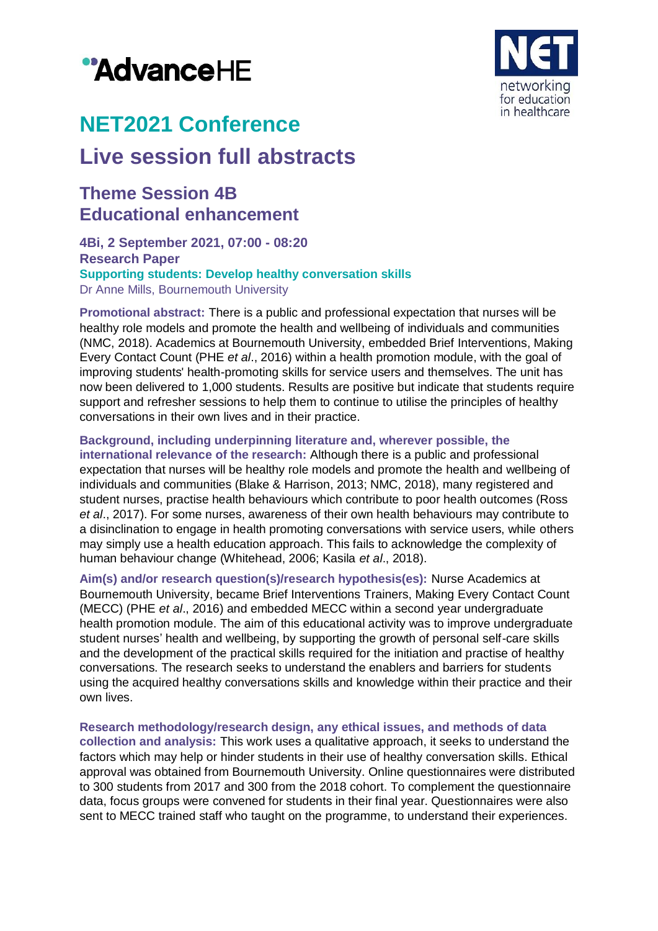# "AdvanceHE



## **NET2021 Conference**

## **Live session full abstracts**

### **Theme Session 4B Educational enhancement**

**4Bi, 2 September 2021, 07:00 - 08:20 Research Paper Supporting students: Develop healthy conversation skills** Dr Anne Mills, Bournemouth University

**Promotional abstract:** There is a public and professional expectation that nurses will be healthy role models and promote the health and wellbeing of individuals and communities (NMC, 2018). Academics at Bournemouth University, embedded Brief Interventions, Making Every Contact Count (PHE *et al*., 2016) within a health promotion module, with the goal of improving students' health-promoting skills for service users and themselves. The unit has now been delivered to 1,000 students. Results are positive but indicate that students require support and refresher sessions to help them to continue to utilise the principles of healthy conversations in their own lives and in their practice.

**Background, including underpinning literature and, wherever possible, the international relevance of the research:** Although there is a public and professional expectation that nurses will be healthy role models and promote the health and wellbeing of individuals and communities (Blake & Harrison, 2013; NMC, 2018), many registered and student nurses, practise health behaviours which contribute to poor health outcomes (Ross *et al*., 2017). For some nurses, awareness of their own health behaviours may contribute to a disinclination to engage in health promoting conversations with service users, while others may simply use a health education approach. This fails to acknowledge the complexity of human behaviour change (Whitehead, 2006; Kasila *et al*., 2018).

**Aim(s) and/or research question(s)/research hypothesis(es):** Nurse Academics at Bournemouth University, became Brief Interventions Trainers, Making Every Contact Count (MECC) (PHE *et al*., 2016) and embedded MECC within a second year undergraduate health promotion module. The aim of this educational activity was to improve undergraduate student nurses' health and wellbeing, by supporting the growth of personal self-care skills and the development of the practical skills required for the initiation and practise of healthy conversations. The research seeks to understand the enablers and barriers for students using the acquired healthy conversations skills and knowledge within their practice and their own lives.

**Research methodology/research design, any ethical issues, and methods of data collection and analysis:** This work uses a qualitative approach, it seeks to understand the factors which may help or hinder students in their use of healthy conversation skills. Ethical approval was obtained from Bournemouth University. Online questionnaires were distributed to 300 students from 2017 and 300 from the 2018 cohort. To complement the questionnaire data, focus groups were convened for students in their final year. Questionnaires were also sent to MECC trained staff who taught on the programme, to understand their experiences.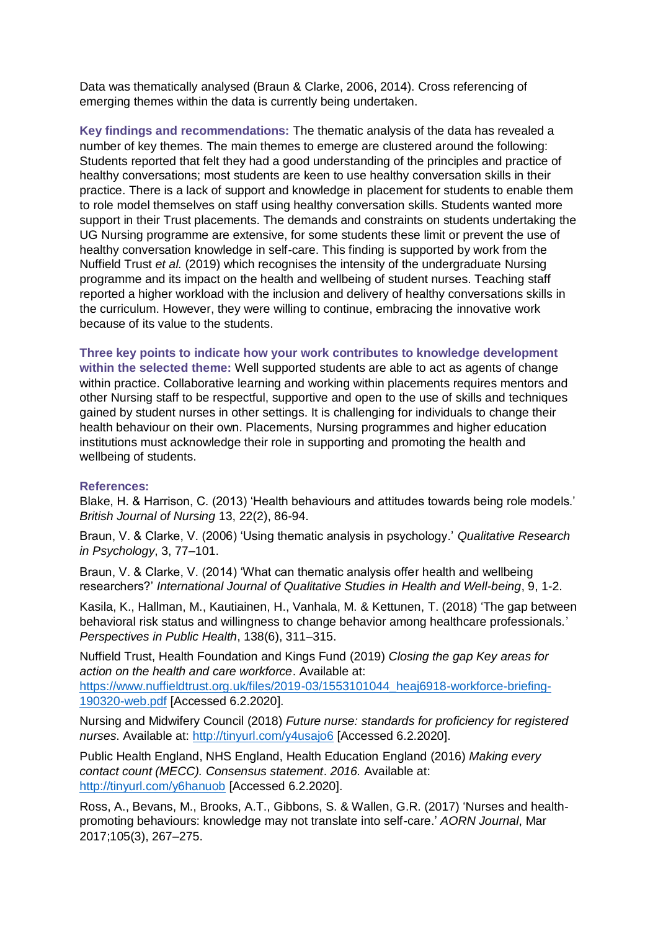Data was thematically analysed (Braun & Clarke, 2006, 2014). Cross referencing of emerging themes within the data is currently being undertaken.

**Key findings and recommendations:** The thematic analysis of the data has revealed a number of key themes. The main themes to emerge are clustered around the following: Students reported that felt they had a good understanding of the principles and practice of healthy conversations; most students are keen to use healthy conversation skills in their practice. There is a lack of support and knowledge in placement for students to enable them to role model themselves on staff using healthy conversation skills. Students wanted more support in their Trust placements. The demands and constraints on students undertaking the UG Nursing programme are extensive, for some students these limit or prevent the use of healthy conversation knowledge in self-care. This finding is supported by work from the Nuffield Trust *et al.* (2019) which recognises the intensity of the undergraduate Nursing programme and its impact on the health and wellbeing of student nurses. Teaching staff reported a higher workload with the inclusion and delivery of healthy conversations skills in the curriculum. However, they were willing to continue, embracing the innovative work because of its value to the students.

**Three key points to indicate how your work contributes to knowledge development within the selected theme:** Well supported students are able to act as agents of change within practice. Collaborative learning and working within placements requires mentors and other Nursing staff to be respectful, supportive and open to the use of skills and techniques gained by student nurses in other settings. It is challenging for individuals to change their health behaviour on their own. Placements, Nursing programmes and higher education institutions must acknowledge their role in supporting and promoting the health and wellbeing of students.

#### **References:**

Blake, H. & Harrison, C. (2013) 'Health behaviours and attitudes towards being role models.' *British Journal of Nursing* 13, 22(2), 86-94.

Braun, V. & Clarke, V. (2006) 'Using thematic analysis in psychology.' *Qualitative Research in Psychology*, 3, 77–101.

Braun, V. & Clarke, V. (2014) 'What can thematic analysis offer health and wellbeing researchers?' *International Journal of Qualitative Studies in Health and Well-being*, 9, 1-2.

Kasila, K., Hallman, M., Kautiainen, H., Vanhala, M. & Kettunen, T. (2018) 'The gap between behavioral risk status and willingness to change behavior among healthcare professionals.' *Perspectives in Public Health*, 138(6), 311–315.

Nuffield Trust, Health Foundation and Kings Fund (2019) *Closing the gap Key areas for action on the health and care workforce*. Available at:

[https://www.nuffieldtrust.org.uk/files/2019-03/1553101044\\_heaj6918-workforce-briefing-](https://www.nuffieldtrust.org.uk/files/2019-03/1553101044_heaj6918-workforce-briefing-190320-web.pdf)[190320-web.pdf](https://www.nuffieldtrust.org.uk/files/2019-03/1553101044_heaj6918-workforce-briefing-190320-web.pdf) [Accessed 6.2.2020].

Nursing and Midwifery Council (2018) *Future nurse: standards for proficiency for registered nurses*. Available at:<http://tinyurl.com/y4usajo6> [Accessed 6.2.2020].

Public Health England, NHS England, Health Education England (2016) *Making every contact count (MECC). Consensus statement*. *2016.* Available at: <http://tinyurl.com/y6hanuob> [Accessed 6.2.2020].

Ross, A., Bevans, M., Brooks, A.T., Gibbons, S. & Wallen, G.R. (2017) 'Nurses and healthpromoting behaviours: knowledge may not translate into self-care.' *AORN Journal*, Mar 2017;105(3), 267–275.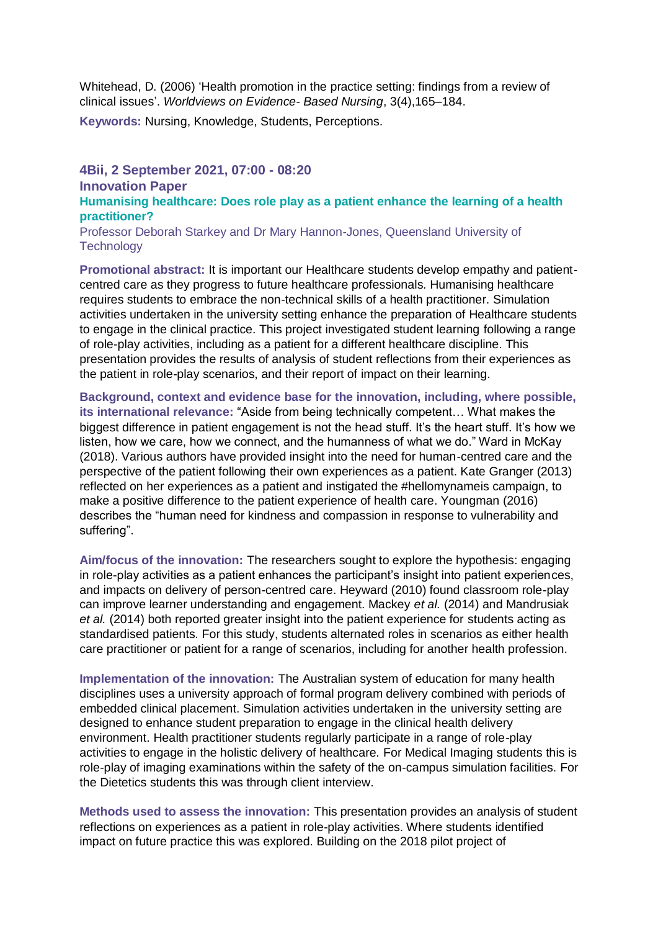Whitehead, D. (2006) 'Health promotion in the practice setting: findings from a review of clinical issues'. *Worldviews on Evidence- Based Nursing*, 3(4),165–184.

**Keywords:** Nursing, Knowledge, Students, Perceptions.

#### **4Bii, 2 September 2021, 07:00 - 08:20 Innovation Paper Humanising healthcare: Does role play as a patient enhance the learning of a health practitioner?**

Professor Deborah Starkey and Dr Mary Hannon-Jones, Queensland University of **Technology** 

**Promotional abstract:** It is important our Healthcare students develop empathy and patientcentred care as they progress to future healthcare professionals. Humanising healthcare requires students to embrace the non-technical skills of a health practitioner. Simulation activities undertaken in the university setting enhance the preparation of Healthcare students to engage in the clinical practice. This project investigated student learning following a range of role-play activities, including as a patient for a different healthcare discipline. This presentation provides the results of analysis of student reflections from their experiences as the patient in role-play scenarios, and their report of impact on their learning.

**Background, context and evidence base for the innovation, including, where possible, its international relevance:** "Aside from being technically competent… What makes the biggest difference in patient engagement is not the head stuff. It's the heart stuff. It's how we listen, how we care, how we connect, and the humanness of what we do." Ward in McKay (2018). Various authors have provided insight into the need for human-centred care and the perspective of the patient following their own experiences as a patient. Kate Granger (2013) reflected on her experiences as a patient and instigated the #hellomynameis campaign, to make a positive difference to the patient experience of health care. Youngman (2016) describes the "human need for kindness and compassion in response to vulnerability and suffering".

**Aim/focus of the innovation:** The researchers sought to explore the hypothesis: engaging in role-play activities as a patient enhances the participant's insight into patient experiences, and impacts on delivery of person-centred care. Heyward (2010) found classroom role-play can improve learner understanding and engagement. Mackey *et al.* (2014) and Mandrusiak *et al.* (2014) both reported greater insight into the patient experience for students acting as standardised patients. For this study, students alternated roles in scenarios as either health care practitioner or patient for a range of scenarios, including for another health profession.

**Implementation of the innovation:** The Australian system of education for many health disciplines uses a university approach of formal program delivery combined with periods of embedded clinical placement. Simulation activities undertaken in the university setting are designed to enhance student preparation to engage in the clinical health delivery environment. Health practitioner students regularly participate in a range of role-play activities to engage in the holistic delivery of healthcare. For Medical Imaging students this is role-play of imaging examinations within the safety of the on-campus simulation facilities. For the Dietetics students this was through client interview.

**Methods used to assess the innovation:** This presentation provides an analysis of student reflections on experiences as a patient in role-play activities. Where students identified impact on future practice this was explored. Building on the 2018 pilot project of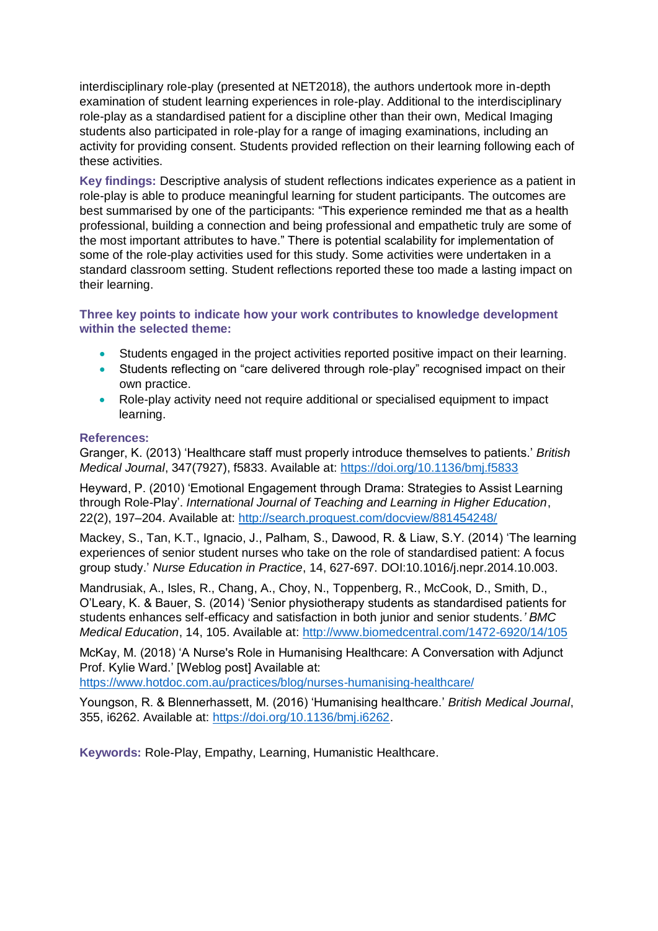interdisciplinary role-play (presented at NET2018), the authors undertook more in-depth examination of student learning experiences in role-play. Additional to the interdisciplinary role-play as a standardised patient for a discipline other than their own, Medical Imaging students also participated in role-play for a range of imaging examinations, including an activity for providing consent. Students provided reflection on their learning following each of these activities.

**Key findings:** Descriptive analysis of student reflections indicates experience as a patient in role-play is able to produce meaningful learning for student participants. The outcomes are best summarised by one of the participants: "This experience reminded me that as a health professional, building a connection and being professional and empathetic truly are some of the most important attributes to have." There is potential scalability for implementation of some of the role-play activities used for this study. Some activities were undertaken in a standard classroom setting. Student reflections reported these too made a lasting impact on their learning.

#### **Three key points to indicate how your work contributes to knowledge development within the selected theme:**

- Students engaged in the project activities reported positive impact on their learning.
- Students reflecting on "care delivered through role-play" recognised impact on their own practice.
- Role-play activity need not require additional or specialised equipment to impact learning.

#### **References:**

Granger, K. (2013) 'Healthcare staff must properly introduce themselves to patients.' *British Medical Journal*, 347(7927), f5833. Available at:<https://doi.org/10.1136/bmj.f5833>

Heyward, P. (2010) 'Emotional Engagement through Drama: Strategies to Assist Learning through Role-Play'. *International Journal of Teaching and Learning in Higher Education*, 22(2), 197–204. Available at:<http://search.proquest.com/docview/881454248/>

Mackey, S., Tan, K.T., Ignacio, J., Palham, S., Dawood, R. & Liaw, S.Y. (2014) 'The learning experiences of senior student nurses who take on the role of standardised patient: A focus group study.' *Nurse Education in Practice*, 14, 627-697. DOI:10.1016/j.nepr.2014.10.003.

Mandrusiak, A., Isles, R., Chang, A., Choy, N., Toppenberg, R., McCook, D., Smith, D., O'Leary, K. & Bauer, S. (2014) 'Senior physiotherapy students as standardised patients for students enhances self-efficacy and satisfaction in both junior and senior students.*' BMC Medical Education*, 14, 105. Available at:<http://www.biomedcentral.com/1472-6920/14/105>

McKay, M. (2018) 'A Nurse's Role in Humanising Healthcare: A Conversation with Adjunct Prof. Kylie Ward.' [Weblog post] Available at:

<https://www.hotdoc.com.au/practices/blog/nurses-humanising-healthcare/>

Youngson, R. & Blennerhassett, M. (2016) 'Humanising healthcare.' *British Medical Journal*, 355, i6262. Available at: [https://doi.org/10.1136/bmj.i6262.](https://doi.org/10.1136/bmj.i6262)

**Keywords:** Role-Play, Empathy, Learning, Humanistic Healthcare.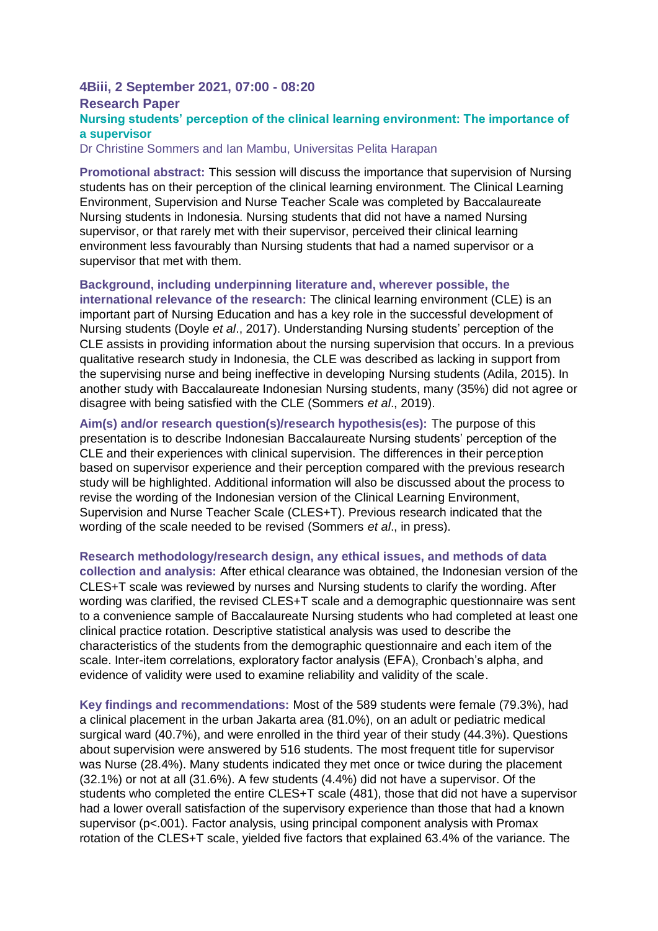#### **4Biii, 2 September 2021, 07:00 - 08:20 Research Paper Nursing students' perception of the clinical learning environment: The importance of a supervisor**

Dr Christine Sommers and Ian Mambu, Universitas Pelita Harapan

**Promotional abstract:** This session will discuss the importance that supervision of Nursing students has on their perception of the clinical learning environment. The Clinical Learning Environment, Supervision and Nurse Teacher Scale was completed by Baccalaureate Nursing students in Indonesia. Nursing students that did not have a named Nursing supervisor, or that rarely met with their supervisor, perceived their clinical learning environment less favourably than Nursing students that had a named supervisor or a supervisor that met with them.

**Background, including underpinning literature and, wherever possible, the international relevance of the research:** The clinical learning environment (CLE) is an important part of Nursing Education and has a key role in the successful development of Nursing students (Doyle *et al*., 2017). Understanding Nursing students' perception of the CLE assists in providing information about the nursing supervision that occurs. In a previous qualitative research study in Indonesia, the CLE was described as lacking in support from the supervising nurse and being ineffective in developing Nursing students (Adila, 2015). In another study with Baccalaureate Indonesian Nursing students, many (35%) did not agree or disagree with being satisfied with the CLE (Sommers *et al*., 2019).

**Aim(s) and/or research question(s)/research hypothesis(es):** The purpose of this presentation is to describe Indonesian Baccalaureate Nursing students' perception of the CLE and their experiences with clinical supervision. The differences in their perception based on supervisor experience and their perception compared with the previous research study will be highlighted. Additional information will also be discussed about the process to revise the wording of the Indonesian version of the Clinical Learning Environment, Supervision and Nurse Teacher Scale (CLES+T). Previous research indicated that the wording of the scale needed to be revised (Sommers *et al*., in press).

**Research methodology/research design, any ethical issues, and methods of data collection and analysis:** After ethical clearance was obtained, the Indonesian version of the CLES+T scale was reviewed by nurses and Nursing students to clarify the wording. After wording was clarified, the revised CLES+T scale and a demographic questionnaire was sent to a convenience sample of Baccalaureate Nursing students who had completed at least one clinical practice rotation. Descriptive statistical analysis was used to describe the characteristics of the students from the demographic questionnaire and each item of the scale. Inter-item correlations, exploratory factor analysis (EFA), Cronbach's alpha, and evidence of validity were used to examine reliability and validity of the scale.

**Key findings and recommendations:** Most of the 589 students were female (79.3%), had a clinical placement in the urban Jakarta area (81.0%), on an adult or pediatric medical surgical ward (40.7%), and were enrolled in the third year of their study (44.3%). Questions about supervision were answered by 516 students. The most frequent title for supervisor was Nurse (28.4%). Many students indicated they met once or twice during the placement (32.1%) or not at all (31.6%). A few students (4.4%) did not have a supervisor. Of the students who completed the entire CLES+T scale (481), those that did not have a supervisor had a lower overall satisfaction of the supervisory experience than those that had a known supervisor (p<.001). Factor analysis, using principal component analysis with Promax rotation of the CLES+T scale, yielded five factors that explained 63.4% of the variance. The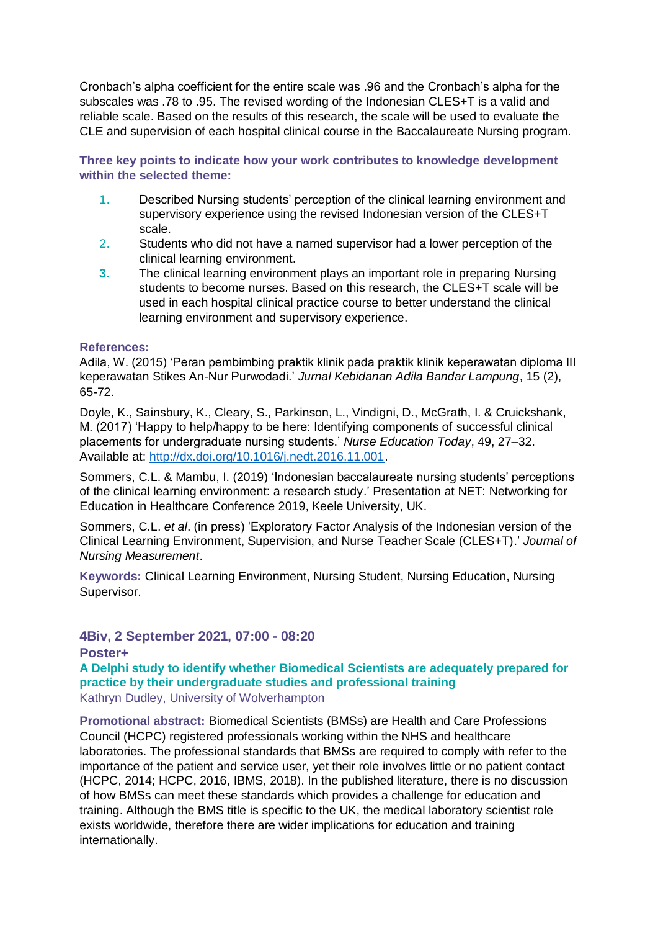Cronbach's alpha coefficient for the entire scale was .96 and the Cronbach's alpha for the subscales was .78 to .95. The revised wording of the Indonesian CLES+T is a valid and reliable scale. Based on the results of this research, the scale will be used to evaluate the CLE and supervision of each hospital clinical course in the Baccalaureate Nursing program.

**Three key points to indicate how your work contributes to knowledge development within the selected theme:** 

- 1. Described Nursing students' perception of the clinical learning environment and supervisory experience using the revised Indonesian version of the CLES+T scale.
- 2. Students who did not have a named supervisor had a lower perception of the clinical learning environment.
- **3.** The clinical learning environment plays an important role in preparing Nursing students to become nurses. Based on this research, the CLES+T scale will be used in each hospital clinical practice course to better understand the clinical learning environment and supervisory experience.

#### **References:**

Adila, W. (2015) 'Peran pembimbing praktik klinik pada praktik klinik keperawatan diploma III keperawatan Stikes An-Nur Purwodadi.' *Jurnal Kebidanan Adila Bandar Lampung*, 15 (2), 65-72.

Doyle, K., Sainsbury, K., Cleary, S., Parkinson, L., Vindigni, D., McGrath, I. & Cruickshank, M. (2017) 'Happy to help/happy to be here: Identifying components of successful clinical placements for undergraduate nursing students.' *Nurse Education Today*, 49, 27–32. Available at: [http://dx.doi.org/10.1016/j.nedt.2016.11.001.](http://dx.doi.org/10.1016/j.nedt.2016.11.001)

Sommers, C.L. & Mambu, I. (2019) 'Indonesian baccalaureate nursing students' perceptions of the clinical learning environment: a research study.' Presentation at NET: Networking for Education in Healthcare Conference 2019, Keele University, UK.

Sommers, C.L. *et al*. (in press) 'Exploratory Factor Analysis of the Indonesian version of the Clinical Learning Environment, Supervision, and Nurse Teacher Scale (CLES+T).' *Journal of Nursing Measurement*.

**Keywords:** Clinical Learning Environment, Nursing Student, Nursing Education, Nursing Supervisor.

#### **4Biv, 2 September 2021, 07:00 - 08:20**

**Poster+**

**A Delphi study to identify whether Biomedical Scientists are adequately prepared for practice by their undergraduate studies and professional training** Kathryn Dudley, University of Wolverhampton

**Promotional abstract:** Biomedical Scientists (BMSs) are Health and Care Professions Council (HCPC) registered professionals working within the NHS and healthcare laboratories. The professional standards that BMSs are required to comply with refer to the importance of the patient and service user, yet their role involves little or no patient contact (HCPC, 2014; HCPC, 2016, IBMS, 2018). In the published literature, there is no discussion of how BMSs can meet these standards which provides a challenge for education and training. Although the BMS title is specific to the UK, the medical laboratory scientist role exists worldwide, therefore there are wider implications for education and training internationally.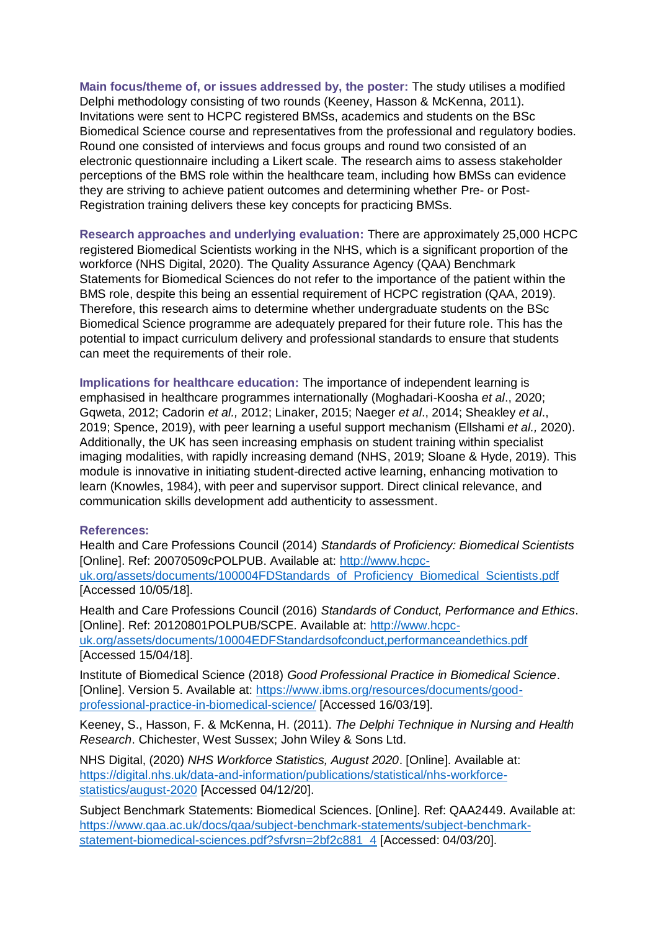**Main focus/theme of, or issues addressed by, the poster:** The study utilises a modified Delphi methodology consisting of two rounds (Keeney, Hasson & McKenna, 2011). Invitations were sent to HCPC registered BMSs, academics and students on the BSc Biomedical Science course and representatives from the professional and regulatory bodies. Round one consisted of interviews and focus groups and round two consisted of an electronic questionnaire including a Likert scale. The research aims to assess stakeholder perceptions of the BMS role within the healthcare team, including how BMSs can evidence they are striving to achieve patient outcomes and determining whether Pre- or Post-Registration training delivers these key concepts for practicing BMSs.

**Research approaches and underlying evaluation:** There are approximately 25,000 HCPC registered Biomedical Scientists working in the NHS, which is a significant proportion of the workforce (NHS Digital, 2020). The Quality Assurance Agency (QAA) Benchmark Statements for Biomedical Sciences do not refer to the importance of the patient within the BMS role, despite this being an essential requirement of HCPC registration (QAA, 2019). Therefore, this research aims to determine whether undergraduate students on the BSc Biomedical Science programme are adequately prepared for their future role. This has the potential to impact curriculum delivery and professional standards to ensure that students can meet the requirements of their role.

**Implications for healthcare education:** The importance of independent learning is emphasised in healthcare programmes internationally (Moghadari-Koosha *et al*., 2020; Gqweta, 2012; Cadorin *et al.,* 2012; Linaker, 2015; Naeger *et al*., 2014; Sheakley *et al*., 2019; Spence, 2019), with peer learning a useful support mechanism (Ellshami *et al.,* 2020). Additionally, the UK has seen increasing emphasis on student training within specialist imaging modalities, with rapidly increasing demand (NHS, 2019; Sloane & Hyde, 2019). This module is innovative in initiating student-directed active learning, enhancing motivation to learn (Knowles, 1984), with peer and supervisor support. Direct clinical relevance, and communication skills development add authenticity to assessment.

#### **References:**

Health and Care Professions Council (2014) *Standards of Proficiency: Biomedical Scientists* [Online]. Ref: 20070509cPOLPUB. Available at: [http://www.hcpc](http://www.hcpc-uk.org/assets/documents/100004FDStandards_of_Proficiency_Biomedical_Scientists.pdf)[uk.org/assets/documents/100004FDStandards\\_of\\_Proficiency\\_Biomedical\\_Scientists.pdf](http://www.hcpc-uk.org/assets/documents/100004FDStandards_of_Proficiency_Biomedical_Scientists.pdf) [Accessed 10/05/18].

Health and Care Professions Council (2016) *Standards of Conduct, Performance and Ethics*. [Online]. Ref: 20120801POLPUB/SCPE. Available at: [http://www.hcpc](http://www.hcpc-uk.org/assets/documents/10004EDFStandardsofconduct,performanceandethics.pdf)[uk.org/assets/documents/10004EDFStandardsofconduct,performanceandethics.pdf](http://www.hcpc-uk.org/assets/documents/10004EDFStandardsofconduct,performanceandethics.pdf) [Accessed 15/04/18].

Institute of Biomedical Science (2018) *Good Professional Practice in Biomedical Science*. [Online]. Version 5. Available at: [https://www.ibms.org/resources/documents/good](https://www.ibms.org/resources/documents/good-professional-practice-in-biomedical-science/)[professional-practice-in-biomedical-science/](https://www.ibms.org/resources/documents/good-professional-practice-in-biomedical-science/) [Accessed 16/03/19].

Keeney, S., Hasson, F. & McKenna, H. (2011). *The Delphi Technique in Nursing and Health Research*. Chichester, West Sussex; John Wiley & Sons Ltd.

NHS Digital, (2020) *NHS Workforce Statistics, August 2020*. [Online]. Available at: [https://digital.nhs.uk/data-and-information/publications/statistical/nhs-workforce](https://digital.nhs.uk/data-and-information/publications/statistical/nhs-workforce-statistics/august-2020)[statistics/august-2020](https://digital.nhs.uk/data-and-information/publications/statistical/nhs-workforce-statistics/august-2020) [Accessed 04/12/20].

Subject Benchmark Statements: Biomedical Sciences. [Online]. Ref: QAA2449. Available at: [https://www.qaa.ac.uk/docs/qaa/subject-benchmark-statements/subject-benchmark](https://www.qaa.ac.uk/docs/qaa/subject-benchmark-statements/subject-benchmark-statement-biomedical-sciences.pdf?sfvrsn=2bf2c881_4)[statement-biomedical-sciences.pdf?sfvrsn=2bf2c881\\_4](https://www.qaa.ac.uk/docs/qaa/subject-benchmark-statements/subject-benchmark-statement-biomedical-sciences.pdf?sfvrsn=2bf2c881_4) [Accessed: 04/03/20].